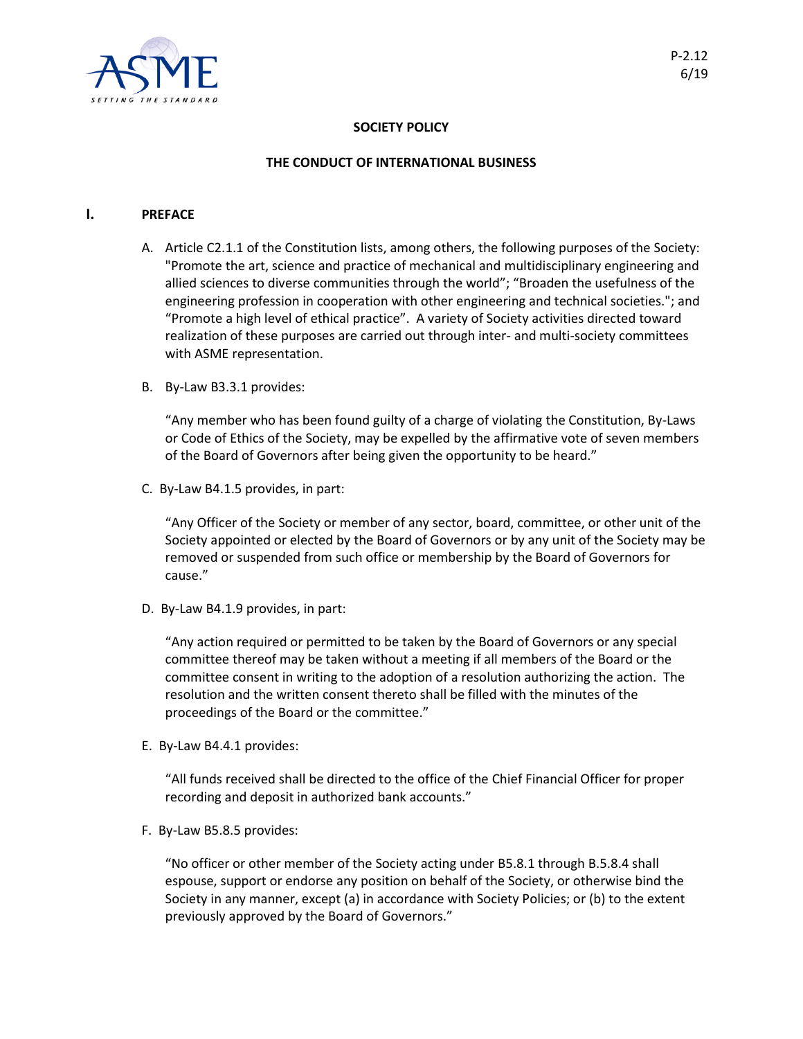

## **SOCIETY POLICY**

### **THE CONDUCT OF INTERNATIONAL BUSINESS**

#### **I. PREFACE**

- A. Article C2.1.1 of the Constitution lists, among others, the following purposes of the Society: "Promote the art, science and practice of mechanical and multidisciplinary engineering and allied sciences to diverse communities through the world"; "Broaden the usefulness of the engineering profession in cooperation with other engineering and technical societies."; and "Promote a high level of ethical practice". A variety of Society activities directed toward realization of these purposes are carried out through inter- and multi-society committees with ASME representation.
- B. By-Law B3.3.1 provides:

"Any member who has been found guilty of a charge of violating the Constitution, By-Laws or Code of Ethics of the Society, may be expelled by the affirmative vote of seven members of the Board of Governors after being given the opportunity to be heard."

C. By-Law B4.1.5 provides, in part:

"Any Officer of the Society or member of any sector, board, committee, or other unit of the Society appointed or elected by the Board of Governors or by any unit of the Society may be removed or suspended from such office or membership by the Board of Governors for cause."

D. By-Law B4.1.9 provides, in part:

"Any action required or permitted to be taken by the Board of Governors or any special committee thereof may be taken without a meeting if all members of the Board or the committee consent in writing to the adoption of a resolution authorizing the action. The resolution and the written consent thereto shall be filled with the minutes of the proceedings of the Board or the committee."

E. By-Law B4.4.1 provides:

"All funds received shall be directed to the office of the Chief Financial Officer for proper recording and deposit in authorized bank accounts."

F. By-Law B5.8.5 provides:

"No officer or other member of the Society acting under B5.8.1 through B.5.8.4 shall espouse, support or endorse any position on behalf of the Society, or otherwise bind the Society in any manner, except (a) in accordance with Society Policies; or (b) to the extent previously approved by the Board of Governors."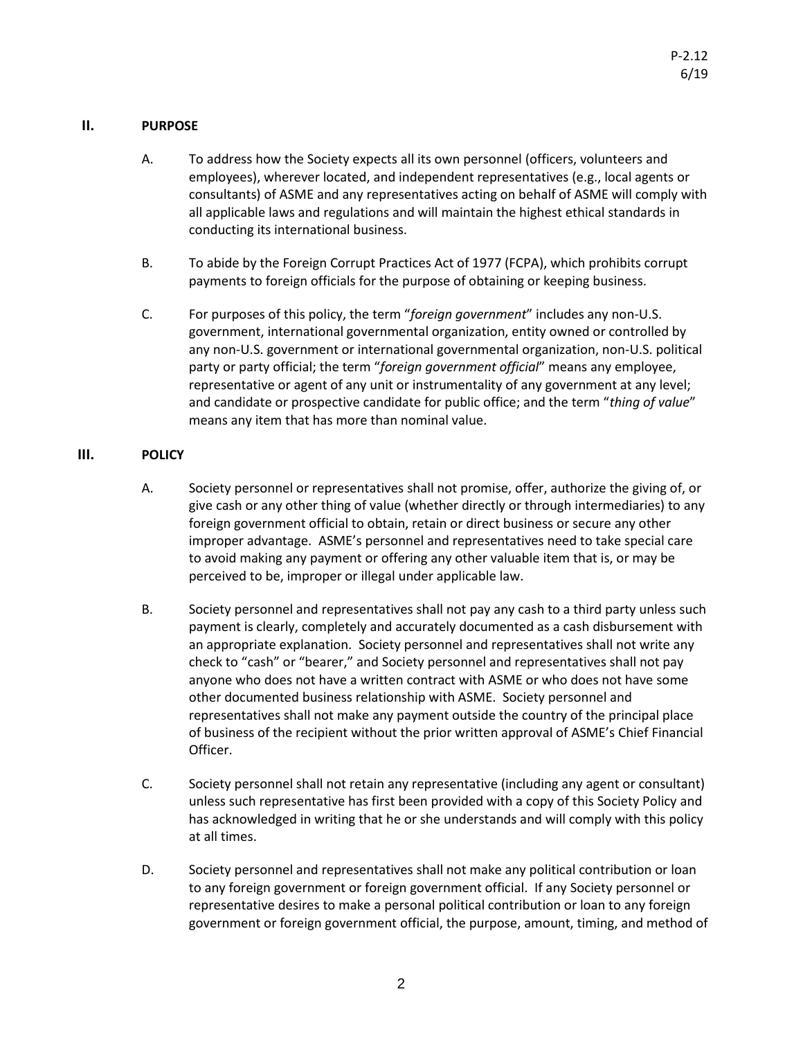## **II. PURPOSE**

- A. To address how the Society expects all its own personnel (officers, volunteers and employees), wherever located, and independent representatives (e.g., local agents or consultants) of ASME and any representatives acting on behalf of ASME will comply with all applicable laws and regulations and will maintain the highest ethical standards in conducting its international business.
- B. To abide by the Foreign Corrupt Practices Act of 1977 (FCPA), which prohibits corrupt payments to foreign officials for the purpose of obtaining or keeping business.
- C. For purposes of this policy, the term "*foreign government*" includes any non-U.S. government, international governmental organization, entity owned or controlled by any non-U.S. government or international governmental organization, non-U.S. political party or party official; the term "*foreign government official*" means any employee, representative or agent of any unit or instrumentality of any government at any level; and candidate or prospective candidate for public office; and the term "*thing of value*" means any item that has more than nominal value.

# **III. POLICY**

- A. Society personnel or representatives shall not promise, offer, authorize the giving of, or give cash or any other thing of value (whether directly or through intermediaries) to any foreign government official to obtain, retain or direct business or secure any other improper advantage. ASME's personnel and representatives need to take special care to avoid making any payment or offering any other valuable item that is, or may be perceived to be, improper or illegal under applicable law.
- B. Society personnel and representatives shall not pay any cash to a third party unless such payment is clearly, completely and accurately documented as a cash disbursement with an appropriate explanation. Society personnel and representatives shall not write any check to "cash" or "bearer," and Society personnel and representatives shall not pay anyone who does not have a written contract with ASME or who does not have some other documented business relationship with ASME. Society personnel and representatives shall not make any payment outside the country of the principal place of business of the recipient without the prior written approval of ASME's Chief Financial Officer.
- C. Society personnel shall not retain any representative (including any agent or consultant) unless such representative has first been provided with a copy of this Society Policy and has acknowledged in writing that he or she understands and will comply with this policy at all times.
- D. Society personnel and representatives shall not make any political contribution or loan to any foreign government or foreign government official. If any Society personnel or representative desires to make a personal political contribution or loan to any foreign government or foreign government official, the purpose, amount, timing, and method of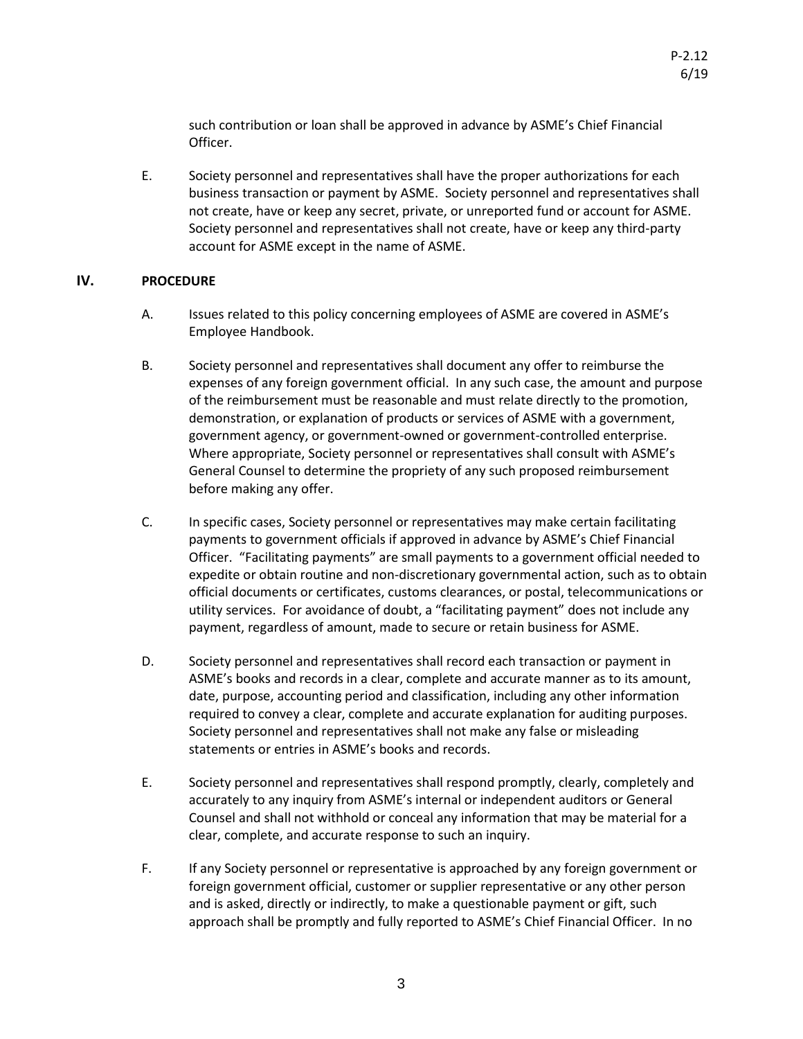such contribution or loan shall be approved in advance by ASME's Chief Financial Officer.

E. Society personnel and representatives shall have the proper authorizations for each business transaction or payment by ASME. Society personnel and representatives shall not create, have or keep any secret, private, or unreported fund or account for ASME. Society personnel and representatives shall not create, have or keep any third-party account for ASME except in the name of ASME.

## **IV. PROCEDURE**

- A. Issues related to this policy concerning employees of ASME are covered in ASME's Employee Handbook.
- B. Society personnel and representatives shall document any offer to reimburse the expenses of any foreign government official. In any such case, the amount and purpose of the reimbursement must be reasonable and must relate directly to the promotion, demonstration, or explanation of products or services of ASME with a government, government agency, or government-owned or government-controlled enterprise. Where appropriate, Society personnel or representatives shall consult with ASME's General Counsel to determine the propriety of any such proposed reimbursement before making any offer.
- C. In specific cases, Society personnel or representatives may make certain facilitating payments to government officials if approved in advance by ASME's Chief Financial Officer. "Facilitating payments" are small payments to a government official needed to expedite or obtain routine and non-discretionary governmental action, such as to obtain official documents or certificates, customs clearances, or postal, telecommunications or utility services. For avoidance of doubt, a "facilitating payment" does not include any payment, regardless of amount, made to secure or retain business for ASME.
- D. Society personnel and representatives shall record each transaction or payment in ASME's books and records in a clear, complete and accurate manner as to its amount, date, purpose, accounting period and classification, including any other information required to convey a clear, complete and accurate explanation for auditing purposes. Society personnel and representatives shall not make any false or misleading statements or entries in ASME's books and records.
- E. Society personnel and representatives shall respond promptly, clearly, completely and accurately to any inquiry from ASME's internal or independent auditors or General Counsel and shall not withhold or conceal any information that may be material for a clear, complete, and accurate response to such an inquiry.
- F. If any Society personnel or representative is approached by any foreign government or foreign government official, customer or supplier representative or any other person and is asked, directly or indirectly, to make a questionable payment or gift, such approach shall be promptly and fully reported to ASME's Chief Financial Officer. In no